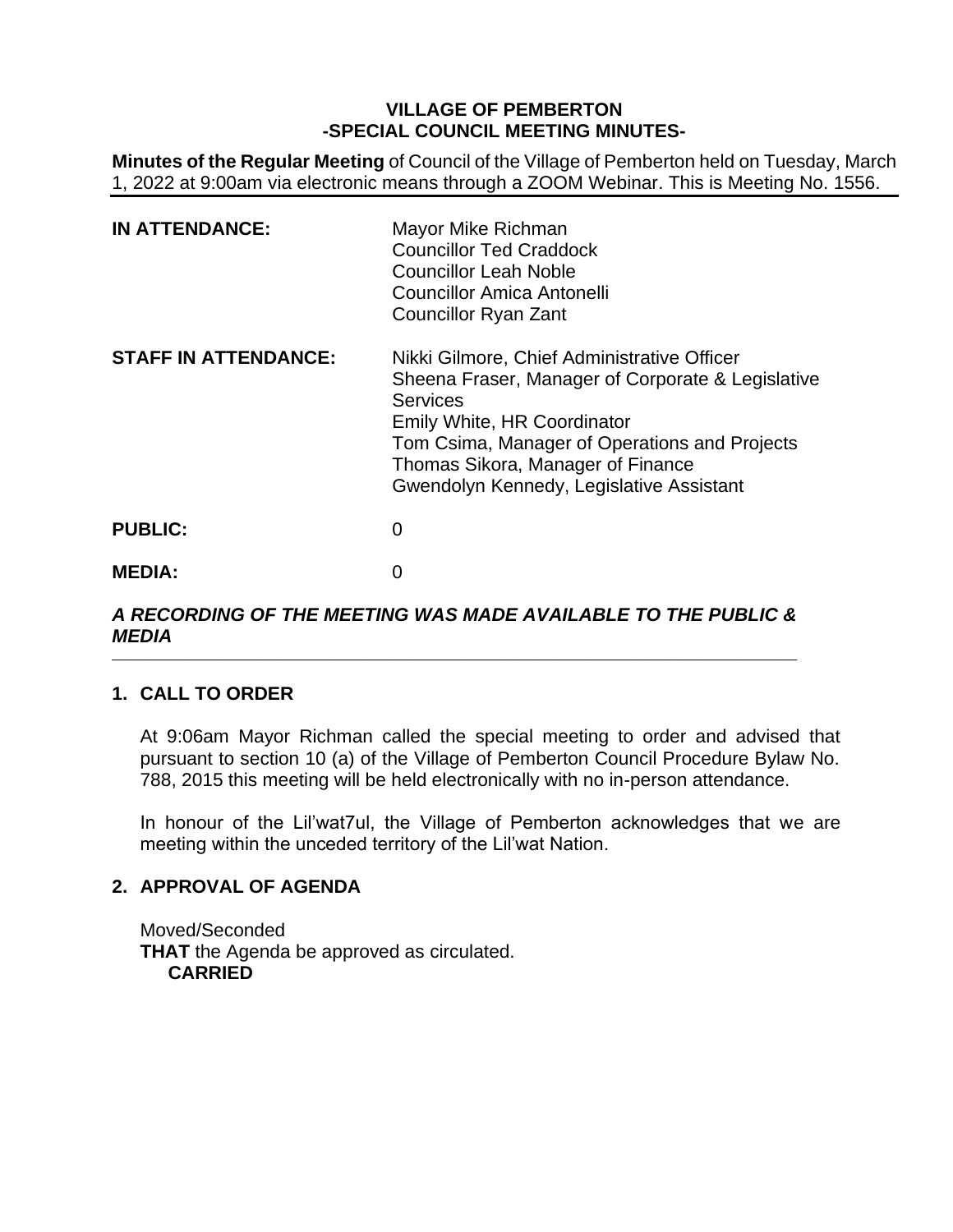# **VILLAGE OF PEMBERTON -SPECIAL COUNCIL MEETING MINUTES-**

**Minutes of the Regular Meeting** of Council of the Village of Pemberton held on Tuesday, March 1, 2022 at 9:00am via electronic means through a ZOOM Webinar. This is Meeting No. 1556.

| <b>IN ATTENDANCE:</b>       | Mayor Mike Richman<br><b>Councillor Ted Craddock</b><br><b>Councillor Leah Noble</b><br>Councillor Amica Antonelli<br><b>Councillor Ryan Zant</b>                                                                                                                                    |
|-----------------------------|--------------------------------------------------------------------------------------------------------------------------------------------------------------------------------------------------------------------------------------------------------------------------------------|
| <b>STAFF IN ATTENDANCE:</b> | Nikki Gilmore, Chief Administrative Officer<br>Sheena Fraser, Manager of Corporate & Legislative<br><b>Services</b><br>Emily White, HR Coordinator<br>Tom Csima, Manager of Operations and Projects<br>Thomas Sikora, Manager of Finance<br>Gwendolyn Kennedy, Legislative Assistant |
| <b>PUBLIC:</b>              | 0                                                                                                                                                                                                                                                                                    |
| <b>MEDIA:</b>               |                                                                                                                                                                                                                                                                                      |

#### *A RECORDING OF THE MEETING WAS MADE AVAILABLE TO THE PUBLIC & MEDIA* \_\_\_\_\_\_\_\_\_\_\_\_\_\_\_\_\_\_\_\_\_\_\_\_\_\_\_\_\_\_\_\_\_\_\_\_\_\_\_\_\_\_\_\_\_\_\_\_\_\_\_\_\_\_\_\_\_\_\_\_\_\_\_\_\_\_\_\_\_\_\_\_\_\_\_\_\_\_\_\_\_\_\_\_\_\_\_\_\_\_\_\_\_\_\_\_\_\_\_

# **1. CALL TO ORDER**

At 9:06am Mayor Richman called the special meeting to order and advised that pursuant to section 10 (a) of the Village of Pemberton Council Procedure Bylaw No. 788, 2015 this meeting will be held electronically with no in-person attendance.

In honour of the Lil'wat7ul, the Village of Pemberton acknowledges that we are meeting within the unceded territory of the Lil'wat Nation.

## **2. APPROVAL OF AGENDA**

Moved/Seconded **THAT** the Agenda be approved as circulated. **CARRIED**